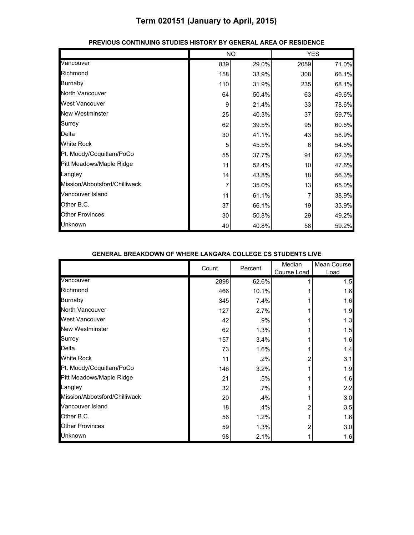|                               |     | <b>NO</b> |      | <b>YES</b> |
|-------------------------------|-----|-----------|------|------------|
| Vancouver                     | 839 | 29.0%     | 2059 | 71.0%      |
| Richmond                      | 158 | 33.9%     | 308  | 66.1%      |
| <b>Burnaby</b>                | 110 | 31.9%     | 235  | 68.1%      |
| North Vancouver               | 64  | 50.4%     | 63   | 49.6%      |
| <b>West Vancouver</b>         | 9   | 21.4%     | 33   | 78.6%      |
| New Westminster               | 25  | 40.3%     | 37   | 59.7%      |
| Surrey                        | 62  | 39.5%     | 95   | 60.5%      |
| Delta                         | 30  | 41.1%     | 43   | 58.9%      |
| <b>White Rock</b>             | 5   | 45.5%     | 6    | 54.5%      |
| Pt. Moody/Coquitlam/PoCo      | 55  | 37.7%     | 91   | 62.3%      |
| Pitt Meadows/Maple Ridge      | 11  | 52.4%     | 10   | 47.6%      |
| Langley                       | 14  | 43.8%     | 18   | 56.3%      |
| Mission/Abbotsford/Chilliwack |     | 35.0%     | 13   | 65.0%      |
| Vancouver Island              | 11  | 61.1%     |      | 38.9%      |
| Other B.C.                    | 37  | 66.1%     | 19   | 33.9%      |
| <b>Other Provinces</b>        | 30  | 50.8%     | 29   | 49.2%      |
| Unknown                       | 40  | 40.8%     | 58   | 59.2%      |

#### **PREVIOUS CONTINUING STUDIES HISTORY BY GENERAL AREA OF RESIDENCE**

#### **GENERAL BREAKDOWN OF WHERE LANGARA COLLEGE CS STUDENTS LIVE**

|                               | Count | Percent | Median<br>Course Load | Mean Course<br>Load |
|-------------------------------|-------|---------|-----------------------|---------------------|
| Vancouver                     | 2898  | 62.6%   |                       | 1.5                 |
| Richmond                      | 466   | 10.1%   |                       | 1.6                 |
| <b>Burnaby</b>                | 345   | 7.4%    |                       | 1.6                 |
| North Vancouver               | 127   | 2.7%    |                       | 1.9                 |
| <b>West Vancouver</b>         | 42    | .9%     |                       | 1.3                 |
| <b>New Westminster</b>        | 62    | 1.3%    |                       | 1.5                 |
| Surrey                        | 157   | 3.4%    |                       | 1.6                 |
| Delta                         | 73    | 1.6%    |                       | 1.4                 |
| <b>White Rock</b>             | 11    | .2%     |                       | 3.1                 |
| Pt. Moody/Coquitlam/PoCo      | 146   | 3.2%    |                       | 1.9                 |
| Pitt Meadows/Maple Ridge      | 21    | .5%     |                       | 1.6                 |
| Langley                       | 32    | $.7\%$  |                       | 2.2                 |
| Mission/Abbotsford/Chilliwack | 20    | .4%     |                       | 3.0                 |
| Vancouver Island              | 18    | .4%     |                       | 3.5                 |
| Other B.C.                    | 56    | 1.2%    |                       | 1.6                 |
| <b>Other Provinces</b>        | 59    | 1.3%    |                       | 3.0                 |
| Unknown                       | 98    | 2.1%    |                       | 1.6                 |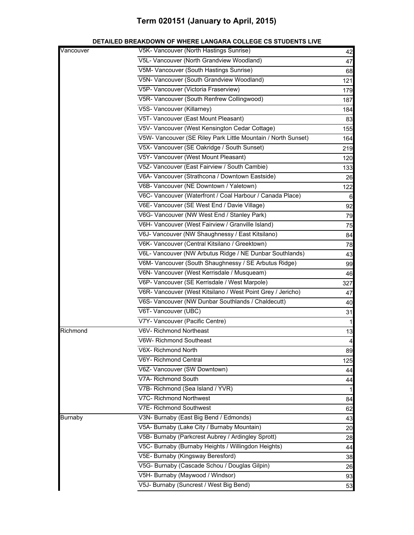| Vancouver      | V5K- Vancouver (North Hastings Sunrise)                       | 42             |
|----------------|---------------------------------------------------------------|----------------|
|                | V5L- Vancouver (North Grandview Woodland)                     | 47             |
|                | V5M- Vancouver (South Hastings Sunrise)                       | 68             |
|                | V5N- Vancouver (South Grandview Woodland)                     | 121            |
|                | V5P- Vancouver (Victoria Fraserview)                          | 179            |
|                | V5R- Vancouver (South Renfrew Collingwood)                    | 187            |
|                | V5S- Vancouver (Killarney)                                    | 184            |
|                | V5T- Vancouver (East Mount Pleasant)                          | 83             |
|                | V5V- Vancouver (West Kensington Cedar Cottage)                | 155            |
|                | V5W- Vancouver (SE Riley Park Little Mountain / North Sunset) | 164            |
|                | V5X- Vancouver (SE Oakridge / South Sunset)                   | 219            |
|                | V5Y- Vancouver (West Mount Pleasant)                          | 120            |
|                | V5Z- Vancouver (East Fairview / South Cambie)                 | 133            |
|                | V6A- Vancouver (Strathcona / Downtown Eastside)               | 26             |
|                | V6B- Vancouver (NE Downtown / Yaletown)                       | 122            |
|                | V6C- Vancouver (Waterfront / Coal Harbour / Canada Place)     | 6              |
|                | V6E- Vancouver (SE West End / Davie Village)                  | 92             |
|                | V6G- Vancouver (NW West End / Stanley Park)                   | 79             |
|                | V6H- Vancouver (West Fairview / Granville Island)             | 75             |
|                | V6J- Vancouver (NW Shaughnessy / East Kitsilano)              | 84             |
|                | V6K- Vancouver (Central Kitsilano / Greektown)                | 78             |
|                | V6L- Vancouver (NW Arbutus Ridge / NE Dunbar Southlands)      | 43             |
|                | V6M- Vancouver (South Shaughnessy / SE Arbutus Ridge)         | 99             |
|                | V6N- Vancouver (West Kerrisdale / Musqueam)                   | 46             |
|                | V6P- Vancouver (SE Kerrisdale / West Marpole)                 | 327            |
|                | V6R- Vancouver (West Kitsilano / West Point Grey / Jericho)   | 47             |
|                | V6S- Vancouver (NW Dunbar Southlands / Chaldecutt)            | 40             |
|                | V6T- Vancouver (UBC)                                          | 31             |
|                | V7Y- Vancouver (Pacific Centre)                               | $\mathbf{1}$   |
| Richmond       | V6V- Richmond Northeast                                       | 13             |
|                | V6W- Richmond Southeast                                       | $\overline{a}$ |
|                | V6X- Richmond North                                           | 89             |
|                | V6Y- Richmond Central                                         | 125            |
|                | V6Z- Vancouver (SW Downtown)                                  | 44             |
|                | V7A- Richmond South                                           | 44             |
|                | V7B- Richmond (Sea Island / YVR)                              | 1              |
|                | V7C- Richmond Northwest                                       | 84             |
|                | V7E- Richmond Southwest                                       | 62             |
| <b>Burnaby</b> | V3N- Burnaby (East Big Bend / Edmonds)                        | 43             |
|                | V5A- Burnaby (Lake City / Burnaby Mountain)                   | 20             |
|                | V5B- Burnaby (Parkcrest Aubrey / Ardingley Sprott)            | 28             |
|                | V5C- Burnaby (Burnaby Heights / Willingdon Heights)           | 44             |
|                | V5E- Burnaby (Kingsway Beresford)                             | 38             |
|                | V5G- Burnaby (Cascade Schou / Douglas Gilpin)                 | 26             |
|                | V5H- Burnaby (Maywood / Windsor)                              | 93             |
|                | V5J- Burnaby (Suncrest / West Big Bend)                       | 53             |

### **DETAILED BREAKDOWN OF WHERE LANGARA COLLEGE CS STUDENTS LIVE**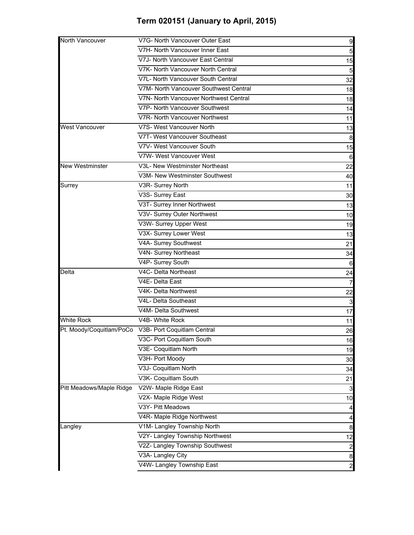| V7H- North Vancouver Inner East<br>V7J- North Vancouver East Central<br>V7K- North Vancouver North Central<br>V7L- North Vancouver South Central<br>V7M- North Vancouver Southwest Central<br>V7N- North Vancouver Northwest Central<br>V7P- North Vancouver Southwest<br>V7R- North Vancouver Northwest<br>V7S- West Vancouver North<br><b>West Vancouver</b><br>V7T- West Vancouver Southeast<br>V7V- West Vancouver South<br>V7W- West Vancouver West<br>V3L- New Westminster Northeast<br><b>New Westminster</b><br>V3M- New Westminster Southwest<br>Surrey<br>V3R- Surrey North<br>V3S- Surrey East<br>V3T- Surrey Inner Northwest<br>V3V- Surrey Outer Northwest<br>V3W- Surrey Upper West<br>V3X- Surrey Lower West<br>V4A- Surrey Southwest<br>V4N- Surrey Northeast<br>V4P- Surrey South<br>V4C- Delta Northeast<br>Delta<br>V4E- Delta East<br>V4K- Delta Northwest<br>V4L- Delta Southeast<br>V4M- Delta Southwest<br><b>White Rock</b><br>V4B- White Rock<br>V3C- Port Coquitlam South<br>V3E- Coquitlam North<br>V3H- Port Moody<br>V3J- Coquitlam North<br>V3K- Coquitlam South<br>Pitt Meadows/Maple Ridge<br>V2W- Maple Ridge East<br>V2X- Maple Ridge West<br>V3Y- Pitt Meadows<br>V4R- Maple Ridge Northwest<br>V1M- Langley Township North<br>Langley | North Vancouver | V7G- North Vancouver Outer East | 9                |
|---------------------------------------------------------------------------------------------------------------------------------------------------------------------------------------------------------------------------------------------------------------------------------------------------------------------------------------------------------------------------------------------------------------------------------------------------------------------------------------------------------------------------------------------------------------------------------------------------------------------------------------------------------------------------------------------------------------------------------------------------------------------------------------------------------------------------------------------------------------------------------------------------------------------------------------------------------------------------------------------------------------------------------------------------------------------------------------------------------------------------------------------------------------------------------------------------------------------------------------------------------------------------|-----------------|---------------------------------|------------------|
| Pt. Moody/Coquitlam/PoCo V3B- Port Coquitlam Central                                                                                                                                                                                                                                                                                                                                                                                                                                                                                                                                                                                                                                                                                                                                                                                                                                                                                                                                                                                                                                                                                                                                                                                                                      |                 |                                 | $\overline{5}$   |
|                                                                                                                                                                                                                                                                                                                                                                                                                                                                                                                                                                                                                                                                                                                                                                                                                                                                                                                                                                                                                                                                                                                                                                                                                                                                           |                 |                                 | 15               |
|                                                                                                                                                                                                                                                                                                                                                                                                                                                                                                                                                                                                                                                                                                                                                                                                                                                                                                                                                                                                                                                                                                                                                                                                                                                                           |                 |                                 | $5\overline{6}$  |
|                                                                                                                                                                                                                                                                                                                                                                                                                                                                                                                                                                                                                                                                                                                                                                                                                                                                                                                                                                                                                                                                                                                                                                                                                                                                           |                 |                                 | 32               |
|                                                                                                                                                                                                                                                                                                                                                                                                                                                                                                                                                                                                                                                                                                                                                                                                                                                                                                                                                                                                                                                                                                                                                                                                                                                                           |                 |                                 | 18               |
|                                                                                                                                                                                                                                                                                                                                                                                                                                                                                                                                                                                                                                                                                                                                                                                                                                                                                                                                                                                                                                                                                                                                                                                                                                                                           |                 |                                 | 18               |
|                                                                                                                                                                                                                                                                                                                                                                                                                                                                                                                                                                                                                                                                                                                                                                                                                                                                                                                                                                                                                                                                                                                                                                                                                                                                           |                 |                                 | 14               |
|                                                                                                                                                                                                                                                                                                                                                                                                                                                                                                                                                                                                                                                                                                                                                                                                                                                                                                                                                                                                                                                                                                                                                                                                                                                                           |                 |                                 | 11               |
|                                                                                                                                                                                                                                                                                                                                                                                                                                                                                                                                                                                                                                                                                                                                                                                                                                                                                                                                                                                                                                                                                                                                                                                                                                                                           |                 |                                 | 13               |
|                                                                                                                                                                                                                                                                                                                                                                                                                                                                                                                                                                                                                                                                                                                                                                                                                                                                                                                                                                                                                                                                                                                                                                                                                                                                           |                 |                                 | 8                |
|                                                                                                                                                                                                                                                                                                                                                                                                                                                                                                                                                                                                                                                                                                                                                                                                                                                                                                                                                                                                                                                                                                                                                                                                                                                                           |                 |                                 | 15               |
|                                                                                                                                                                                                                                                                                                                                                                                                                                                                                                                                                                                                                                                                                                                                                                                                                                                                                                                                                                                                                                                                                                                                                                                                                                                                           |                 |                                 | 6                |
|                                                                                                                                                                                                                                                                                                                                                                                                                                                                                                                                                                                                                                                                                                                                                                                                                                                                                                                                                                                                                                                                                                                                                                                                                                                                           |                 |                                 | 22               |
|                                                                                                                                                                                                                                                                                                                                                                                                                                                                                                                                                                                                                                                                                                                                                                                                                                                                                                                                                                                                                                                                                                                                                                                                                                                                           |                 |                                 | 40               |
|                                                                                                                                                                                                                                                                                                                                                                                                                                                                                                                                                                                                                                                                                                                                                                                                                                                                                                                                                                                                                                                                                                                                                                                                                                                                           |                 |                                 | 11               |
|                                                                                                                                                                                                                                                                                                                                                                                                                                                                                                                                                                                                                                                                                                                                                                                                                                                                                                                                                                                                                                                                                                                                                                                                                                                                           |                 |                                 | 30               |
|                                                                                                                                                                                                                                                                                                                                                                                                                                                                                                                                                                                                                                                                                                                                                                                                                                                                                                                                                                                                                                                                                                                                                                                                                                                                           |                 |                                 | 13               |
|                                                                                                                                                                                                                                                                                                                                                                                                                                                                                                                                                                                                                                                                                                                                                                                                                                                                                                                                                                                                                                                                                                                                                                                                                                                                           |                 |                                 | 10               |
|                                                                                                                                                                                                                                                                                                                                                                                                                                                                                                                                                                                                                                                                                                                                                                                                                                                                                                                                                                                                                                                                                                                                                                                                                                                                           |                 |                                 | 19               |
|                                                                                                                                                                                                                                                                                                                                                                                                                                                                                                                                                                                                                                                                                                                                                                                                                                                                                                                                                                                                                                                                                                                                                                                                                                                                           |                 |                                 | 13               |
|                                                                                                                                                                                                                                                                                                                                                                                                                                                                                                                                                                                                                                                                                                                                                                                                                                                                                                                                                                                                                                                                                                                                                                                                                                                                           |                 |                                 | 21               |
|                                                                                                                                                                                                                                                                                                                                                                                                                                                                                                                                                                                                                                                                                                                                                                                                                                                                                                                                                                                                                                                                                                                                                                                                                                                                           |                 |                                 | 34               |
|                                                                                                                                                                                                                                                                                                                                                                                                                                                                                                                                                                                                                                                                                                                                                                                                                                                                                                                                                                                                                                                                                                                                                                                                                                                                           |                 |                                 | 6                |
|                                                                                                                                                                                                                                                                                                                                                                                                                                                                                                                                                                                                                                                                                                                                                                                                                                                                                                                                                                                                                                                                                                                                                                                                                                                                           |                 |                                 | 24               |
|                                                                                                                                                                                                                                                                                                                                                                                                                                                                                                                                                                                                                                                                                                                                                                                                                                                                                                                                                                                                                                                                                                                                                                                                                                                                           |                 |                                 |                  |
|                                                                                                                                                                                                                                                                                                                                                                                                                                                                                                                                                                                                                                                                                                                                                                                                                                                                                                                                                                                                                                                                                                                                                                                                                                                                           |                 |                                 | 22               |
|                                                                                                                                                                                                                                                                                                                                                                                                                                                                                                                                                                                                                                                                                                                                                                                                                                                                                                                                                                                                                                                                                                                                                                                                                                                                           |                 |                                 | $\mathbf{3}$     |
|                                                                                                                                                                                                                                                                                                                                                                                                                                                                                                                                                                                                                                                                                                                                                                                                                                                                                                                                                                                                                                                                                                                                                                                                                                                                           |                 |                                 | 17               |
|                                                                                                                                                                                                                                                                                                                                                                                                                                                                                                                                                                                                                                                                                                                                                                                                                                                                                                                                                                                                                                                                                                                                                                                                                                                                           |                 |                                 | 11               |
|                                                                                                                                                                                                                                                                                                                                                                                                                                                                                                                                                                                                                                                                                                                                                                                                                                                                                                                                                                                                                                                                                                                                                                                                                                                                           |                 |                                 | 26               |
|                                                                                                                                                                                                                                                                                                                                                                                                                                                                                                                                                                                                                                                                                                                                                                                                                                                                                                                                                                                                                                                                                                                                                                                                                                                                           |                 |                                 | 16               |
|                                                                                                                                                                                                                                                                                                                                                                                                                                                                                                                                                                                                                                                                                                                                                                                                                                                                                                                                                                                                                                                                                                                                                                                                                                                                           |                 |                                 | 19               |
|                                                                                                                                                                                                                                                                                                                                                                                                                                                                                                                                                                                                                                                                                                                                                                                                                                                                                                                                                                                                                                                                                                                                                                                                                                                                           |                 |                                 | 30               |
|                                                                                                                                                                                                                                                                                                                                                                                                                                                                                                                                                                                                                                                                                                                                                                                                                                                                                                                                                                                                                                                                                                                                                                                                                                                                           |                 |                                 | 34               |
|                                                                                                                                                                                                                                                                                                                                                                                                                                                                                                                                                                                                                                                                                                                                                                                                                                                                                                                                                                                                                                                                                                                                                                                                                                                                           |                 |                                 | 21               |
|                                                                                                                                                                                                                                                                                                                                                                                                                                                                                                                                                                                                                                                                                                                                                                                                                                                                                                                                                                                                                                                                                                                                                                                                                                                                           |                 |                                 | $\mathbf{3}$     |
|                                                                                                                                                                                                                                                                                                                                                                                                                                                                                                                                                                                                                                                                                                                                                                                                                                                                                                                                                                                                                                                                                                                                                                                                                                                                           |                 |                                 | 10               |
|                                                                                                                                                                                                                                                                                                                                                                                                                                                                                                                                                                                                                                                                                                                                                                                                                                                                                                                                                                                                                                                                                                                                                                                                                                                                           |                 |                                 | $\overline{a}$   |
|                                                                                                                                                                                                                                                                                                                                                                                                                                                                                                                                                                                                                                                                                                                                                                                                                                                                                                                                                                                                                                                                                                                                                                                                                                                                           |                 |                                 | $\overline{4}$   |
|                                                                                                                                                                                                                                                                                                                                                                                                                                                                                                                                                                                                                                                                                                                                                                                                                                                                                                                                                                                                                                                                                                                                                                                                                                                                           |                 |                                 | $\boldsymbol{8}$ |
|                                                                                                                                                                                                                                                                                                                                                                                                                                                                                                                                                                                                                                                                                                                                                                                                                                                                                                                                                                                                                                                                                                                                                                                                                                                                           |                 | V2Y- Langley Township Northwest | 12               |
| V2Z- Langley Township Southwest                                                                                                                                                                                                                                                                                                                                                                                                                                                                                                                                                                                                                                                                                                                                                                                                                                                                                                                                                                                                                                                                                                                                                                                                                                           |                 |                                 |                  |
| V3A- Langley City                                                                                                                                                                                                                                                                                                                                                                                                                                                                                                                                                                                                                                                                                                                                                                                                                                                                                                                                                                                                                                                                                                                                                                                                                                                         |                 |                                 | $\boldsymbol{8}$ |
| V4W- Langley Township East                                                                                                                                                                                                                                                                                                                                                                                                                                                                                                                                                                                                                                                                                                                                                                                                                                                                                                                                                                                                                                                                                                                                                                                                                                                |                 |                                 | $\overline{a}$   |
|                                                                                                                                                                                                                                                                                                                                                                                                                                                                                                                                                                                                                                                                                                                                                                                                                                                                                                                                                                                                                                                                                                                                                                                                                                                                           |                 |                                 | $\mathbf{Z}$     |
|                                                                                                                                                                                                                                                                                                                                                                                                                                                                                                                                                                                                                                                                                                                                                                                                                                                                                                                                                                                                                                                                                                                                                                                                                                                                           |                 |                                 |                  |